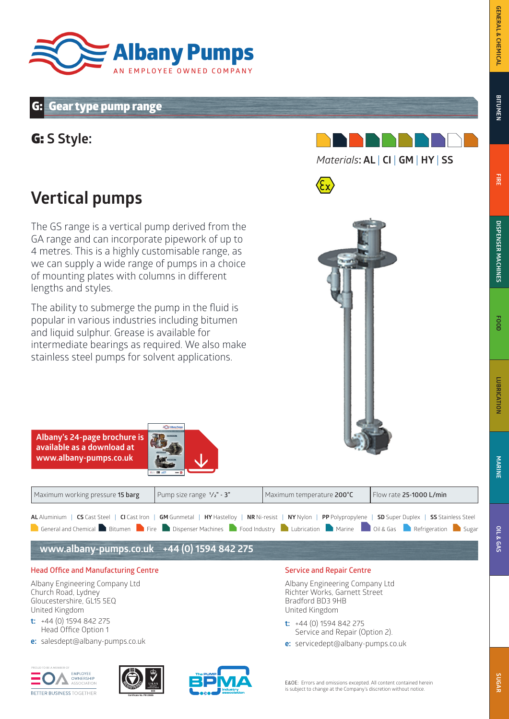## **Gear type pump range**

G: **S Style:** 





The GS range is a vertical pump derived from the GA range and can incorporate pipework of up to 4 metres. This is a highly customisable range, as we can supply a wide range of pumps in a choice of mounting plates with columns in different lengths and styles.

The ability to submerge the pump in the fluid is popular in various industries including bitumen and liquid sulphur. Grease is available for intermediate bearings as required. We also make stainless steel pumps for solvent applications.



**FIRE**

**SUGAR**

| Maximum working pressure 15 barg                                                                                                                                                                                                                                                                                                          | Pump size range $1/z$ " - 3" | Maximum temperature 200°C        | Flow rate 25-1000 L/min |
|-------------------------------------------------------------------------------------------------------------------------------------------------------------------------------------------------------------------------------------------------------------------------------------------------------------------------------------------|------------------------------|----------------------------------|-------------------------|
| AL Aluminium   CS Cast Steel   CI Cast Iron   GM Gunmetal   HY Hastelloy   NR Ni-resist   NY Nylon   PP Polypropylene   SD Super Duplex   SS Stainless Steel<br>General and Chemical Bitumen <b>D</b> Fire Dispenser Machines <b>D</b> Food Industry <b>D</b> Lubrication <b>D</b> Marine <b>D</b> Oil & Gas <b>D</b> Refrigeration Sugar |                              |                                  |                         |
| www.albany-pumps.co.uk +44 (0) 1594 842 275                                                                                                                                                                                                                                                                                               |                              |                                  |                         |
| <b>Head Office and Manufacturing Centre</b>                                                                                                                                                                                                                                                                                               |                              | <b>Service and Repair Centre</b> |                         |

Albany Engineering Company Ltd Church Road, Lydney Gloucestershire, GL15 5EQ United Kingdom

**Albany's 24-page brochure is available as a download at www.albany-pumps.co.uk** 

- **t:** +44 (0) 1594 842 275 Head Office Option 1
- **e:** salesdept@albany-pumps.co.uk







E&OE: Errors and omissions excepted. All content contained herein

is subject to change at the Company's discretion without notice.

Albany Engineering Company Ltd Richter Works, Garnett Street

 Service and Repair (Option 2). **e:** servicedept@albany-pumps.co.uk

Bradford BD3 9HB United Kingdom

**t:** +44 (0) 1594 842 275